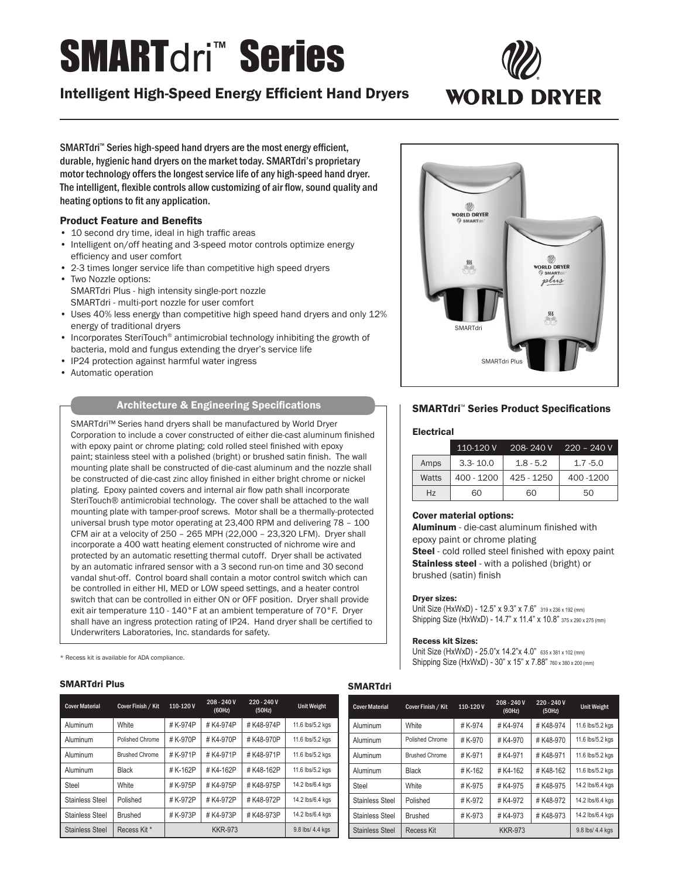# **SMARTdri™ Series**

## Intelligent High-Speed Energy Efficient Hand Dryers



SMARTdri<sup>™</sup> Series high-speed hand dryers are the most energy efficient, durable, hygienic hand dryers on the market today. SMARTdri's proprietary motor technology offers the longest service life of any high-speed hand dryer. The intelligent, flexible controls allow customizing of air flow, sound quality and heating options to fit any application.

#### Product Feature and Benefits

- 10 second dry time, ideal in high traffic areas
- Intelligent on/off heating and 3-speed motor controls optimize energy efficiency and user comfort
- 2-3 times longer service life than competitive high speed dryers
- Two Nozzle options: SMARTdri Plus - high intensity single-port nozzle SMARTdri - multi-port nozzle for user comfort
- Uses 40% less energy than competitive high speed hand dryers and only 12% energy of traditional dryers
- Incorporates SteriTouch<sup>®</sup> antimicrobial technology inhibiting the growth of bacteria, mold and fungus extending the dryer's service life
- IP24 protection against harmful water ingress
- Automatic operation

### Architecture & Engineering Specifications

SMARTdri™ Series hand dryers shall be manufactured by World Dryer Corporation to include a cover constructed of either die-cast aluminum finished with epoxy paint or chrome plating; cold rolled steel finished with epoxy paint; stainless steel with a polished (bright) or brushed satin finish. The wall mounting plate shall be constructed of die-cast aluminum and the nozzle shall be constructed of die-cast zinc alloy finished in either bright chrome or nickel plating. Epoxy painted covers and internal air flow path shall incorporate SteriTouch® antimicrobial technology. The cover shall be attached to the wall mounting plate with tamper-proof screws. Motor shall be a thermally-protected universal brush type motor operating at 23,400 RPM and delivering 78 – 100 CFM air at a velocity of 250 – 265 MPH (22,000 – 23,320 LFM). Dryer shall incorporate a 400 watt heating element constructed of nichrome wire and protected by an automatic resetting thermal cutoff. Dryer shall be activated by an automatic infrared sensor with a 3 second run-on time and 30 second vandal shut-off. Control board shall contain a motor control switch which can be controlled in either HI, MED or LOW speed settings, and a heater control switch that can be controlled in either ON or OFF position. Dryer shall provide exit air temperature 110 - 140°F at an ambient temperature of 70°F. Dryer shall have an ingress protection rating of IP24. Hand dryer shall be certified to Underwriters Laboratories, Inc. standards for safety.

\* Recess kit is available for ADA compliance.

#### SMARTdri Plus **SMARTdri** Province and SMART of the SMART of the SMART of the SMART of the SMART of the SMART of the SMART of the SMART of the SMART of the SMART of the SMART of the SMART of the SMART of the SMART of the SM

| <b>Cover Material</b>  | Cover Finish / Kit    | 110-120V       | 208 - 240 V<br>(60Hz) | $220 - 240V$<br>(50Hz) | <b>Unit Weight</b> |
|------------------------|-----------------------|----------------|-----------------------|------------------------|--------------------|
| Aluminum               | White                 | #K-974P        | #K4-974P              | #K48-974P              | 11.6 lbs/5.2 kgs   |
| Aluminum               | Polished Chrome       | #K-970P        | #K4-970P              | #K48-970P              | 11.6 lbs/5.2 kgs   |
| Aluminum               | <b>Brushed Chrome</b> | #K-971P        | #K4-971P              | #K48-971P              | 11.6 lbs/5.2 kgs   |
| Aluminum               | <b>Black</b>          | #K-162P        | #K4-162P              | #K48-162P              | 11.6 lbs/5.2 kgs   |
| Steel                  | White                 | #K-975P        | #K4-975P              | #K48-975P              | 14.2 lbs/6.4 kgs   |
| <b>Stainless Steel</b> | Polished              | #K-972P        | #K4-972P              | #K48-972P              | 14.2 lbs/6.4 kgs   |
| <b>Stainless Steel</b> | <b>Brushed</b>        | # K-973P       | #K4-973P              | #K48-973P              | 14.2 lbs/6.4 kgs   |
| Stainless Steel        | Recess Kit *          | <b>KKR-973</b> |                       | 9.8 lbs/ 4.4 kgs       |                    |



#### SMARTdri™ Series Product Specifications

#### **Electrical**

|       | 110-120 V    |             | $208 - 240V$ 220 - 240 V |
|-------|--------------|-------------|--------------------------|
| Amps  | $3.3 - 10.0$ | $1.8 - 5.2$ | $1.7 - 5.0$              |
| Watts | $400 - 1200$ | 425 - 1250  | 400 - 1200               |
| Hz    | 60           | 60          | 50                       |

#### Cover material options:

Aluminum - die-cast aluminum finished with epoxy paint or chrome plating

Steel - cold rolled steel finished with epoxy paint **Stainless steel** - with a polished (bright) or brushed (satin) finish

#### Dryer sizes:

Unit Size (HxWxD) - 12.5" x 9.3" x 7.6" 319 x 236 x 192 (mm) Shipping Size (HxWxD) - 14.7" x 11.4" x 10.8" 375 x 290 x 275 (mm)

#### Recess kit Sizes:

Unit Size (HxWxD) - 25.0"x 14.2"x 4.0" 635 x 381 x 102 (mm) Shipping Size (HxWxD) - 30" x 15" x 7.88" 760 x 380 x 200 (mm)

| <b>Cover Material</b> | Cover Finish / Kit    | 110-120V | $208 - 240V$<br>(60Hz) | $220 - 240V$<br>(50Hz) | <b>Unit Weight</b> |
|-----------------------|-----------------------|----------|------------------------|------------------------|--------------------|
| Aluminum              | White                 | #K-974   | #K4-974                | #K48-974               | 11.6 lbs/5.2 kgs   |
| Aluminum              | Polished Chrome       | # K-970  | #K4-970                | #K48-970               | 11.6 lbs/5.2 kgs   |
| Aluminum              | <b>Brushed Chrome</b> | #K-971   | #K4-971                | #K48-971               | 11.6 lbs/5.2 kgs   |
| Aluminum              | Black                 | # K-162  | #K4-162                | #K48-162               | 11.6 lbs/5.2 kgs   |
| Steel                 | White                 | #K-975   | #K4-975                | #K48-975               | 14.2 lbs/6.4 kgs   |
| Stainless Steel       | Polished              | #K-972   | #K4-972                | #K48-972               | 14.2 lbs/6.4 kgs   |
| Stainless Steel       | <b>Brushed</b>        | # K-973  | #K4-973                | #K48-973               | 14.2 lbs/6.4 kgs   |
| Stainless Steel       | Recess Kit            |          | <b>KKR-973</b>         |                        | 9.8 lbs/ 4.4 kgs   |